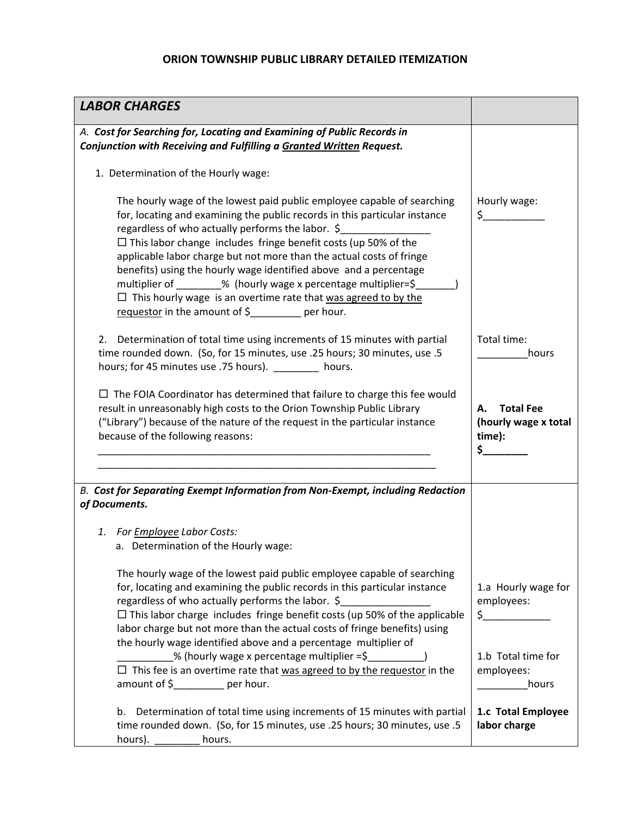## **ORION TOWNSHIP PUBLIC LIBRARY DETAILED ITEMIZATION**

| <b>LABOR CHARGES</b>                                                                                                                                                                                                                                                                                                                                                                                                                                                                                                                                                                                                           |                                                                                  |
|--------------------------------------------------------------------------------------------------------------------------------------------------------------------------------------------------------------------------------------------------------------------------------------------------------------------------------------------------------------------------------------------------------------------------------------------------------------------------------------------------------------------------------------------------------------------------------------------------------------------------------|----------------------------------------------------------------------------------|
| A. Cost for Searching for, Locating and Examining of Public Records in<br>Conjunction with Receiving and Fulfilling a Granted Written Request.                                                                                                                                                                                                                                                                                                                                                                                                                                                                                 |                                                                                  |
| 1. Determination of the Hourly wage:                                                                                                                                                                                                                                                                                                                                                                                                                                                                                                                                                                                           |                                                                                  |
| The hourly wage of the lowest paid public employee capable of searching<br>for, locating and examining the public records in this particular instance<br>regardless of who actually performs the labor. \$<br>$\Box$ This labor change includes fringe benefit costs (up 50% of the<br>applicable labor charge but not more than the actual costs of fringe<br>benefits) using the hourly wage identified above and a percentage<br>multiplier of ________% (hourly wage x percentage multiplier=\$<br>$\Box$ This hourly wage is an overtime rate that was agreed to by the<br>requestor in the amount of \$_______ per hour. | Hourly wage:<br>$\zeta$                                                          |
| Determination of total time using increments of 15 minutes with partial<br>2.<br>time rounded down. (So, for 15 minutes, use .25 hours; 30 minutes, use .5<br>hours; for 45 minutes use .75 hours). hours.                                                                                                                                                                                                                                                                                                                                                                                                                     | Total time:<br>hours                                                             |
| $\Box$ The FOIA Coordinator has determined that failure to charge this fee would<br>result in unreasonably high costs to the Orion Township Public Library<br>("Library") because of the nature of the request in the particular instance<br>because of the following reasons:                                                                                                                                                                                                                                                                                                                                                 | <b>Total Fee</b><br>А.<br>(hourly wage x total<br>time):<br>\$_                  |
| B. Cost for Separating Exempt Information from Non-Exempt, including Redaction<br>of Documents.                                                                                                                                                                                                                                                                                                                                                                                                                                                                                                                                |                                                                                  |
| 1. For <b>Employee</b> Labor Costs:<br>a. Determination of the Hourly wage:                                                                                                                                                                                                                                                                                                                                                                                                                                                                                                                                                    |                                                                                  |
| The hourly wage of the lowest paid public employee capable of searching<br>for, locating and examining the public records in this particular instance<br>regardless of who actually performs the labor. \$<br>$\Box$ This labor charge includes fringe benefit costs (up 50% of the applicable<br>labor charge but not more than the actual costs of fringe benefits) using<br>the hourly wage identified above and a percentage multiplier of<br>% (hourly wage x percentage multiplier =\$<br>$\Box$ This fee is an overtime rate that was agreed to by the requestor in the                                                 | 1.a Hourly wage for<br>employees:<br>$\zeta$<br>1.b Total time for<br>employees: |
| amount of $\frac{2}{3}$ per hour.<br>b. Determination of total time using increments of 15 minutes with partial                                                                                                                                                                                                                                                                                                                                                                                                                                                                                                                | hours<br>1.c Total Employee                                                      |
| time rounded down. (So, for 15 minutes, use .25 hours; 30 minutes, use .5<br>hours). $\qquad \qquad$<br>hours.                                                                                                                                                                                                                                                                                                                                                                                                                                                                                                                 | labor charge                                                                     |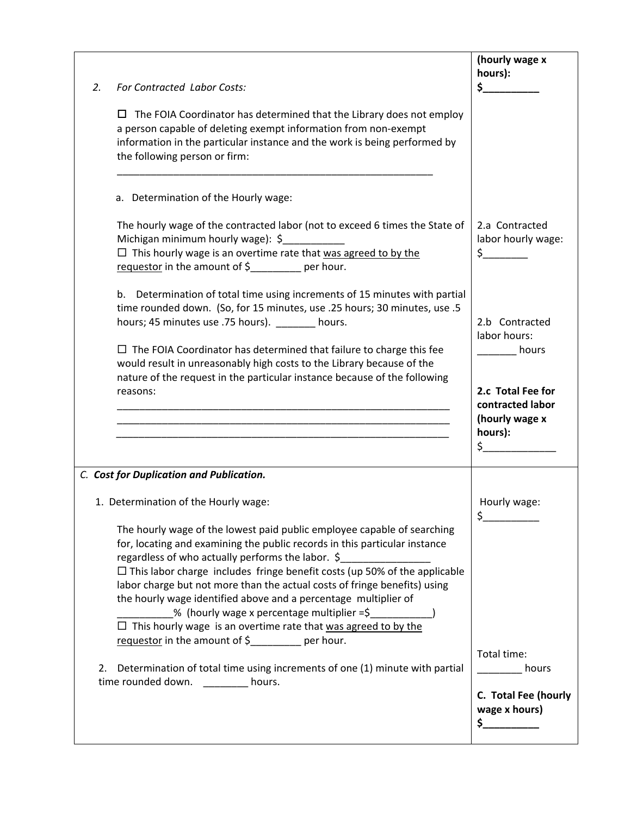| 2. | <b>For Contracted Labor Costs:</b><br>$\Box$ The FOIA Coordinator has determined that the Library does not employ<br>a person capable of deleting exempt information from non-exempt<br>information in the particular instance and the work is being performed by<br>the following person or firm:                                                                                                                                                                                                                                                                                                                                                                                                                                                                                                                                              | (hourly wage x<br>hours):<br>\$_                                                                                    |
|----|-------------------------------------------------------------------------------------------------------------------------------------------------------------------------------------------------------------------------------------------------------------------------------------------------------------------------------------------------------------------------------------------------------------------------------------------------------------------------------------------------------------------------------------------------------------------------------------------------------------------------------------------------------------------------------------------------------------------------------------------------------------------------------------------------------------------------------------------------|---------------------------------------------------------------------------------------------------------------------|
|    | a. Determination of the Hourly wage:<br>The hourly wage of the contracted labor (not to exceed 6 times the State of<br>Michigan minimum hourly wage): \$<br>$\Box$ This hourly wage is an overtime rate that was agreed to by the<br>requestor in the amount of \$_______ per hour.                                                                                                                                                                                                                                                                                                                                                                                                                                                                                                                                                             | 2.a Contracted<br>labor hourly wage:<br>$\zeta$                                                                     |
|    | b. Determination of total time using increments of 15 minutes with partial<br>time rounded down. (So, for 15 minutes, use .25 hours; 30 minutes, use .5<br>hours; 45 minutes use .75 hours). ________ hours.<br>$\Box$ The FOIA Coordinator has determined that failure to charge this fee<br>would result in unreasonably high costs to the Library because of the<br>nature of the request in the particular instance because of the following<br>reasons:<br><u> 1989 - Johann Stein, mars and de Britannie et al. (1989)</u>                                                                                                                                                                                                                                                                                                                | 2.b Contracted<br>labor hours:<br>hours<br>2.c Total Fee for<br>contracted labor<br>(hourly wage x<br>hours):<br>\$ |
| 2. | C. Cost for Duplication and Publication.<br>1. Determination of the Hourly wage:<br>The hourly wage of the lowest paid public employee capable of searching<br>for, locating and examining the public records in this particular instance<br>regardless of who actually performs the labor. \$<br>$\Box$ This labor charge includes fringe benefit costs (up 50% of the applicable<br>labor charge but not more than the actual costs of fringe benefits) using<br>the hourly wage identified above and a percentage multiplier of<br>$\frac{1}{2}$ % (hourly wage x percentage multiplier = $\zeta$<br>$\Box$ This hourly wage is an overtime rate that was agreed to by the<br>requestor in the amount of \$________ per hour.<br>Determination of total time using increments of one (1) minute with partial<br>time rounded down.<br>hours. | Hourly wage:<br>\$<br>Total time:<br>hours<br>C. Total Fee (hourly<br>wage x hours)                                 |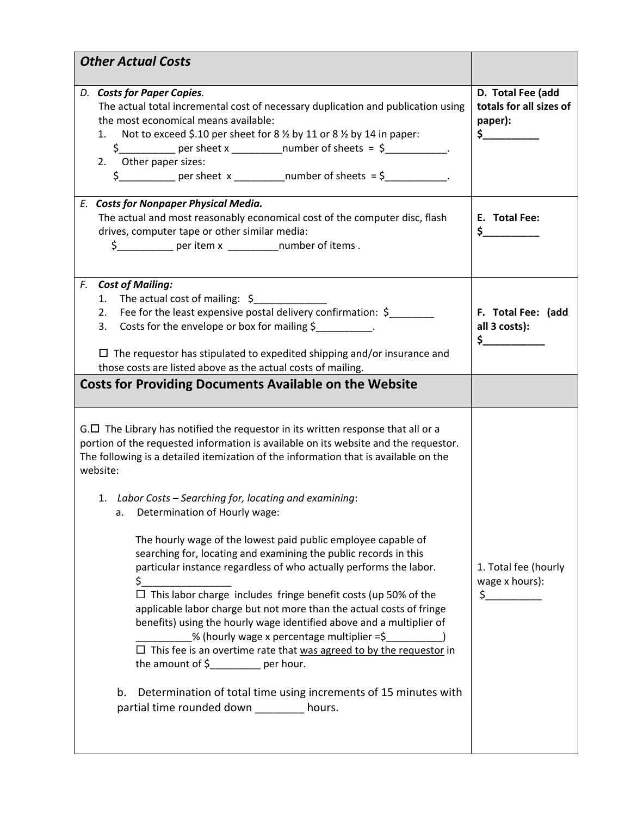|                                                                                                                                                                                             | D. Total Fee (add       |
|---------------------------------------------------------------------------------------------------------------------------------------------------------------------------------------------|-------------------------|
| D. Costs for Paper Copies.<br>The actual total incremental cost of necessary duplication and publication using                                                                              | totals for all sizes of |
| the most economical means available:                                                                                                                                                        | paper):                 |
| Not to exceed \$.10 per sheet for 8 % by 11 or 8 % by 14 in paper:<br>1.                                                                                                                    | $\sim$                  |
|                                                                                                                                                                                             |                         |
| 2. Other paper sizes:                                                                                                                                                                       |                         |
| $\frac{1}{2}$ per sheet x ______________number of sheets = $\frac{1}{2}$                                                                                                                    |                         |
| E. Costs for Nonpaper Physical Media.                                                                                                                                                       |                         |
| The actual and most reasonably economical cost of the computer disc, flash                                                                                                                  | E. Total Fee:           |
| drives, computer tape or other similar media:                                                                                                                                               | $\sim$                  |
| \$____________ per item x ___________number of items.                                                                                                                                       |                         |
|                                                                                                                                                                                             |                         |
| F. Cost of Mailing:<br>1. The actual cost of mailing: $\zeta$                                                                                                                               |                         |
| Fee for the least expensive postal delivery confirmation: \$<br>2.                                                                                                                          | F. Total Fee: (add      |
| 3. Costs for the envelope or box for mailing \$                                                                                                                                             | all 3 costs):           |
|                                                                                                                                                                                             | $\sim$ $\sim$           |
| $\Box$ The requestor has stipulated to expedited shipping and/or insurance and                                                                                                              |                         |
| those costs are listed above as the actual costs of mailing.                                                                                                                                |                         |
| $G.\Box$ The Library has notified the requestor in its written response that all or a<br>portion of the requested information is available on its website and the requestor.                |                         |
|                                                                                                                                                                                             |                         |
| The following is a detailed itemization of the information that is available on the<br>website:<br>1. Labor Costs - Searching for, locating and examining:<br>Determination of Hourly wage: |                         |
|                                                                                                                                                                                             |                         |
| The hourly wage of the lowest paid public employee capable of                                                                                                                               |                         |
| searching for, locating and examining the public records in this                                                                                                                            |                         |
| particular instance regardless of who actually performs the labor.                                                                                                                          | 1. Total fee (hourly    |
| \$.<br>$\Box$ This labor charge includes fringe benefit costs (up 50% of the                                                                                                                | wage x hours):          |
| applicable labor charge but not more than the actual costs of fringe                                                                                                                        |                         |
| benefits) using the hourly wage identified above and a multiplier of                                                                                                                        |                         |
| % (hourly wage x percentage multiplier =\$                                                                                                                                                  |                         |
|                                                                                                                                                                                             |                         |
| $\Box$ This fee is an overtime rate that was agreed to by the requestor in<br>the amount of $\frac{2}{2}$ per hour.                                                                         |                         |
|                                                                                                                                                                                             |                         |
| Determination of total time using increments of 15 minutes with<br>b.<br>partial time rounded down ________ hours.                                                                          |                         |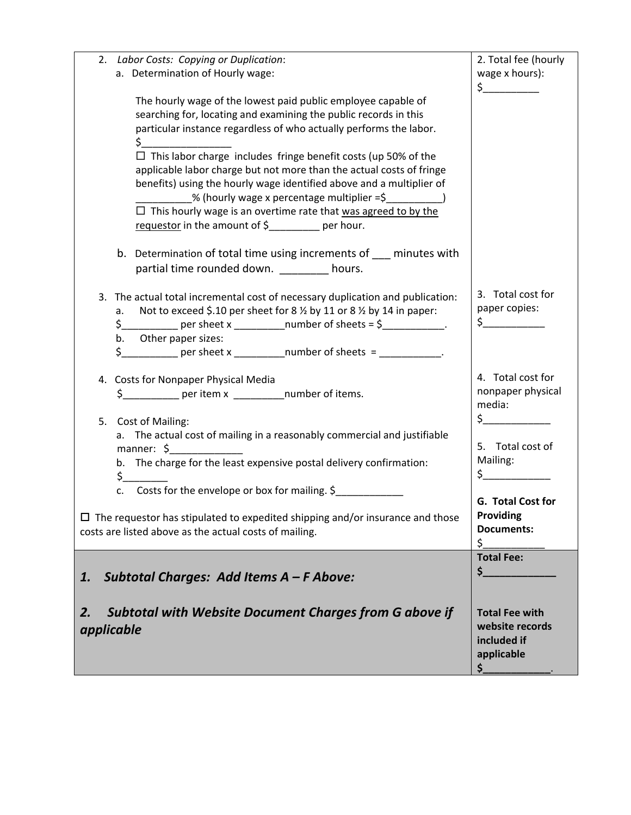| Labor Costs: Copying or Duplication:<br>2.                                           | 2. Total fee (hourly                   |
|--------------------------------------------------------------------------------------|----------------------------------------|
| a. Determination of Hourly wage:                                                     | wage x hours):                         |
|                                                                                      | $\frac{1}{2}$                          |
| The hourly wage of the lowest paid public employee capable of                        |                                        |
| searching for, locating and examining the public records in this                     |                                        |
| particular instance regardless of who actually performs the labor.                   |                                        |
| \$.                                                                                  |                                        |
| $\Box$ This labor charge includes fringe benefit costs (up 50% of the                |                                        |
| applicable labor charge but not more than the actual costs of fringe                 |                                        |
| benefits) using the hourly wage identified above and a multiplier of                 |                                        |
| % (hourly wage x percentage multiplier =\$                                           |                                        |
| $\Box$ This hourly wage is an overtime rate that was agreed to by the                |                                        |
| requestor in the amount of \$_______ per hour.                                       |                                        |
|                                                                                      |                                        |
| b. Determination of total time using increments of minutes with                      |                                        |
| partial time rounded down. _________ hours.                                          |                                        |
|                                                                                      |                                        |
| 3. The actual total incremental cost of necessary duplication and publication:       | 3. Total cost for                      |
| Not to exceed \$.10 per sheet for 8 % by 11 or 8 % by 14 in paper:<br>а. –           | paper copies:                          |
|                                                                                      | $\zeta$                                |
| b. Other paper sizes:                                                                |                                        |
| $$$ ___________ per sheet x ___________number of sheets = ___________.               |                                        |
|                                                                                      |                                        |
| 4. Costs for Nonpaper Physical Media                                                 | 4. Total cost for                      |
| \$____________ per item x ____________number of items.                               | nonpaper physical                      |
|                                                                                      | media:                                 |
| Cost of Mailing:<br>5.                                                               | $\zeta$                                |
| a. The actual cost of mailing in a reasonably commercial and justifiable             |                                        |
| manner: $\oint$                                                                      | 5. Total cost of                       |
| b. The charge for the least expensive postal delivery confirmation:                  | Mailing:                               |
| $\mathsf{S}_-$                                                                       | $\frac{1}{2}$                          |
| Costs for the envelope or box for mailing. \$<br>c.                                  | G. Total Cost for                      |
|                                                                                      | Providing                              |
| $\Box$ The requestor has stipulated to expedited shipping and/or insurance and those |                                        |
| costs are listed above as the actual costs of mailing.                               | <b>Documents:</b><br>\$                |
|                                                                                      | <b>Total Fee:</b>                      |
|                                                                                      | $\mathsf{s}$ . The set of $\mathsf{s}$ |
| Subtotal Charges: Add Items A - F Above:<br>1.                                       |                                        |
|                                                                                      |                                        |
| <b>Subtotal with Website Document Charges from G above if</b><br>2.                  | <b>Total Fee with</b>                  |
| applicable                                                                           | website records                        |
|                                                                                      | included if                            |
|                                                                                      | applicable                             |
|                                                                                      | \$__                                   |